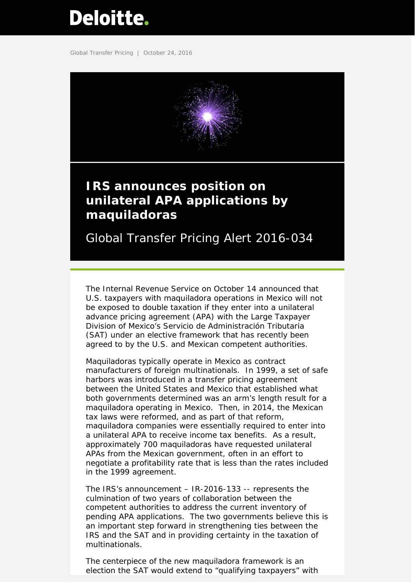# <span id="page-0-0"></span>Deloitte.

Global Transfer Pricing | October 24, 2016



## **unilateral APA applications by maquiladoras**

Global Transfer Pricing Alert 2016-034

The Internal Revenue Service on October 14 announced that U.S. taxpayers with maquiladora operations in Mexico will not be exposed to double taxation if they enter into a unilateral advance pricing agreement (APA) with the Large Taxpayer Division of Mexico's Servicio de Administración Tributaria (SAT) under an elective framework that has recently been agreed to by the U.S. and Mexican competent authorities.

Maquiladoras typically operate in Mexico as contract manufacturers of foreign multinationals. In 1999, a set of safe harbors was introduced in a transfer pricing agreement between the United States and Mexico that established what both governments determined was an arm's length result for a maquiladora operating in Mexico. Then, in 2014, the Mexican tax laws were reformed, and as part of that reform, maquiladora companies were essentially required to enter into a unilateral APA to receive income tax benefits. As a result, approximately 700 maquiladoras have requested unilateral APAs from the Mexican government, often in an effort to negotiate a profitability rate that is less than the rates included in the 1999 agreement.

The IRS's announcement – IR-2016-133 -- represents the culmination of two years of collaboration between the competent authorities to address the current inventory of pending APA applications. The two governments believe this is an important step forward in strengthening ties between the IRS and the SAT and in providing certainty in the taxation of multinationals.

The centerpiece of the new maquiladora framework is an election the SAT would extend to "qualifying taxpayers" with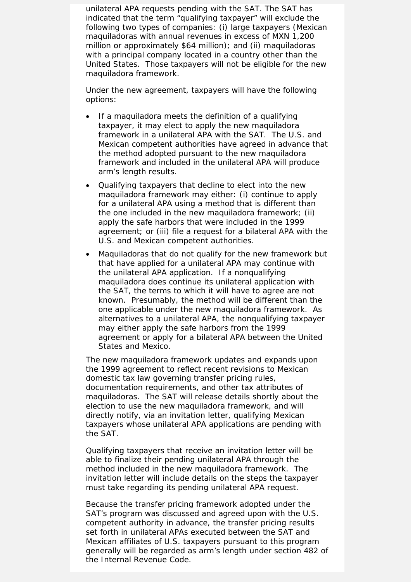unilateral APA requests pending with the SAT. The SAT has indicated that the term "qualifying taxpayer" will exclude the following two types of companies: (i) large taxpayers (Mexican maquiladoras with annual revenues in excess of MXN 1,200 million or approximately \$64 million); and (ii) maquiladoras with a principal company located in a country other than the United States. Those taxpayers will not be eligible for the new maquiladora framework.

Under the new agreement, taxpayers will have the following options:

- If a maquiladora meets the definition of a qualifying taxpayer, it may elect to apply the new maquiladora framework in a unilateral APA with the SAT. The U.S. and Mexican competent authorities have agreed in advance that the method adopted pursuant to the new maquiladora framework and included in the unilateral APA will produce arm's length results.
- Qualifying taxpayers that decline to elect into the new maquiladora framework may either: (i) continue to apply for a unilateral APA using a method that is different than the one included in the new maquiladora framework; (ii) apply the safe harbors that were included in the 1999 agreement; or (iii) file a request for a bilateral APA with the U.S. and Mexican competent authorities.
- Maquiladoras that do not qualify for the new framework but that have applied for a unilateral APA may continue with the unilateral APA application. If a nonqualifying maquiladora does continue its unilateral application with the SAT, the terms to which it will have to agree are not known. Presumably, the method will be different than the one applicable under the new maquiladora framework. As alternatives to a unilateral APA, the nonqualifying taxpayer may either apply the safe harbors from the 1999 agreement or apply for a bilateral APA between the United States and Mexico.

The new maquiladora framework updates and expands upon the 1999 agreement to reflect recent revisions to Mexican domestic tax law governing transfer pricing rules, documentation requirements, and other tax attributes of maquiladoras. The SAT will release details shortly about the election to use the new maquiladora framework, and will directly notify, via an invitation letter, qualifying Mexican taxpayers whose unilateral APA applications are pending with the SAT.

Qualifying taxpayers that receive an invitation letter will be able to finalize their pending unilateral APA through the method included in the new maquiladora framework. The invitation letter will include details on the steps the taxpayer must take regarding its pending unilateral APA request.

Because the transfer pricing framework adopted under the SAT's program was discussed and agreed upon with the U.S. competent authority in advance, the transfer pricing results set forth in unilateral APAs executed between the SAT and Mexican affiliates of U.S. taxpayers pursuant to this program generally will be regarded as arm's length under section 482 of the Internal Revenue Code.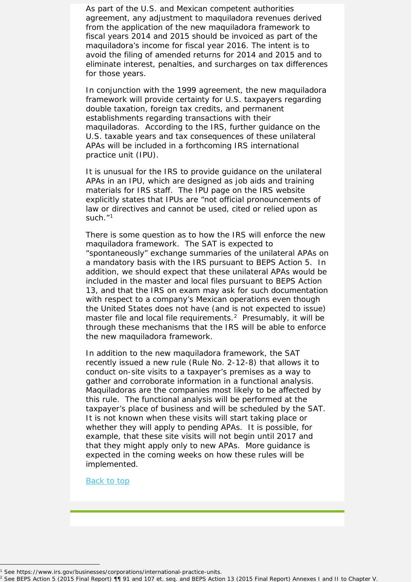As part of the U.S. and Mexican competent authorities agreement, any adjustment to maquiladora revenues derived from the application of the new maquiladora framework to fiscal years 2014 and 2015 should be invoiced as part of the maquiladora's income for fiscal year 2016. The intent is to avoid the filing of amended returns for 2014 and 2015 and to eliminate interest, penalties, and surcharges on tax differences for those years.

In conjunction with the 1999 agreement, the new maquiladora framework will provide certainty for U.S. taxpayers regarding double taxation, foreign tax credits, and permanent establishments regarding transactions with their maquiladoras. According to the IRS, further guidance on the U.S. taxable years and tax consequences of these unilateral APAs will be included in a forthcoming IRS international practice unit (IPU).

It is unusual for the IRS to provide guidance on the unilateral APAs in an IPU, which are designed as job aids and training materials for IRS staff. The IPU page on the IRS website explicitly states that IPUs are "not official pronouncements of law or directives and cannot be used, cited or relied upon as such."<sup>[1](#page-2-0)</sup>

There is some question as to how the IRS will enforce the new maquiladora framework. The SAT is expected to "spontaneously" exchange summaries of the unilateral APAs on a mandatory basis with the IRS pursuant to BEPS Action 5. In addition, we should expect that these unilateral APAs would be included in the master and local files pursuant to BEPS Action 13, and that the IRS on exam may ask for such documentation with respect to a company's Mexican operations even though the United States does not have (and is not expected to issue) master file and local file requirements.<sup>[2](#page-2-1)</sup> Presumably, it will be through these mechanisms that the IRS will be able to enforce the new maquiladora framework.

In addition to the new maquiladora framework, the SAT recently issued a new rule (Rule No. 2-12-8) that allows it to conduct on-site visits to a taxpayer's premises as a way to gather and corroborate information in a functional analysis. Maquiladoras are the companies most likely to be affected by this rule. The functional analysis will be performed at the taxpayer's place of business and will be scheduled by the SAT. It is not known when these visits will start taking place or whether they will apply to pending APAs. It is possible, for example, that these site visits will not begin until 2017 and that they might apply only to new APAs. More guidance is expected in the coming weeks on how these rules will be implemented.

Back to top

I

<span id="page-2-1"></span><span id="page-2-0"></span><sup>1</sup> See https://www.irs.gov/businesses/corporations/international-practice-units.<br>
2 See BEPS Action 5 (2015 Final Report) ¶¶ 91 and 107 et. seq. and BEPS Action 13 (2015 Final Report) Annexes I and II to Chapter V.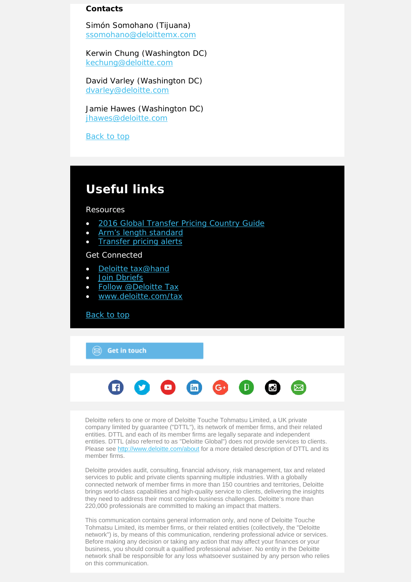### **Contacts**

Simón Somohano (Tijuana) [ssomohano@deloittemx.com](mailto:ssomohano@deloittemx.com)

Kerwin Chung (Washington DC) [kechung@deloitte.com](mailto:kechung@deloitte.com)

David Varley (Washington DC) [dvarley@deloitte.com](mailto:dvarley@deloitte.com)

Jamie Hawes (Washington DC) [jhawes@deloitte.com](mailto:jhawes@deloitte.com) 

Back to top

### **Useful links**

#### Resources

- [2016 Global Transfer Pricing Country Guide](https://www2.deloitte.com/us/en/pages/tax/articles/global-transfer-pricing-country-guide.html)
- [Arm's length standard](http://www2.deloitte.com/global/en/pages/tax/articles/arms-length-standard.html)
- **[Transfer pricing alerts](http://www2.deloitte.com/global/en/pages/tax/articles/global-transfer-pricing-alerts.html)**

Get Connected

- [Deloitte tax@hand](http://www2.deloitte.com/us/en/pages/tax/articles/deloitte-tax-at-hand-mobile-app.html)
- [Join Dbriefs](https://www2.deloitte.com/global/en/pages/about-deloitte/articles/dbriefs-webcasts.html)
- [Follow @Deloitte Tax](http://www.twitter.com/deloittetax)
- [www.deloitte.com/tax](http://www.deloitte.com/tax)

[Back to top](#page-0-0)

 $\circledR$  Get in touch



Deloitte refers to one or more of Deloitte Touche Tohmatsu Limited, a UK private company limited by guarantee ("DTTL"), its network of member firms, and their related entities. DTTL and each of its member firms are legally separate and independent entities. DTTL (also referred to as "Deloitte Global") does not provide services to clients. Please see<http://www.deloitte.com/about> for a more detailed description of DTTL and its member firms.

Deloitte provides audit, consulting, financial advisory, risk management, tax and related services to public and private clients spanning multiple industries. With a globally connected network of member firms in more than 150 countries and territories, Deloitte brings world-class capabilities and high-quality service to clients, delivering the insights they need to address their most complex business challenges. Deloitte's more than 220,000 professionals are committed to making an impact that matters.

This communication contains general information only, and none of Deloitte Touche Tohmatsu Limited, its member firms, or their related entities (collectively, the "Deloitte network") is, by means of this communication, rendering professional advice or services. Before making any decision or taking any action that may affect your finances or your business, you should consult a qualified professional adviser. No entity in the Deloitte network shall be responsible for any loss whatsoever sustained by any person who relies on this communication.